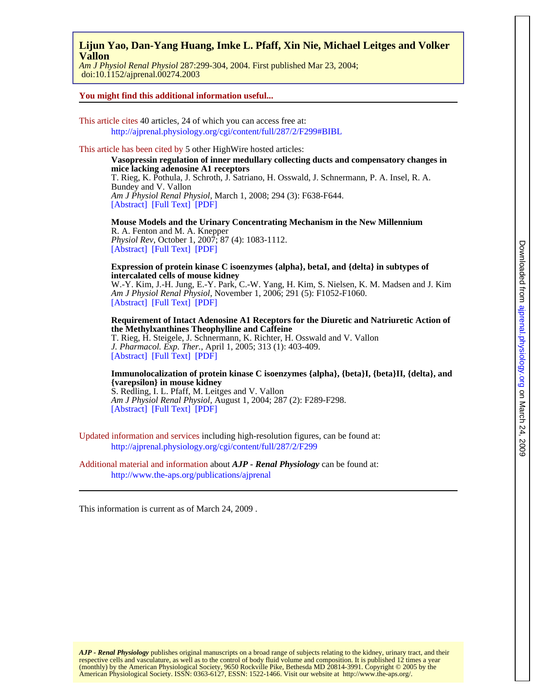# **Vallon Lijun Yao, Dan-Yang Huang, Imke L. Pfaff, Xin Nie, Michael Leitges and Volker**

 doi:10.1152/ajprenal.00274.2003 *Am J Physiol Renal Physiol* 287:299-304, 2004. First published Mar 23, 2004;

#### **You might find this additional information useful...**

This article cites 40 articles, 24 of which you can access free at: <http://ajprenal.physiology.org/cgi/content/full/287/2/F299#BIBL>

### This article has been cited by 5 other HighWire hosted articles:

[\[Abstract\]](http://ajprenal.physiology.org/cgi/content/abstract/294/3/F638) [\[Full Text\]](http://ajprenal.physiology.org/cgi/content/full/294/3/F638) [\[PDF\]](http://ajprenal.physiology.org/cgi/reprint/294/3/F638) *Am J Physiol Renal Physiol*, March 1, 2008; 294 (3): F638-F644. Bundey and V. Vallon T. Rieg, K. Pothula, J. Schroth, J. Satriano, H. Osswald, J. Schnermann, P. A. Insel, R. A. **mice lacking adenosine A1 receptors Vasopressin regulation of inner medullary collecting ducts and compensatory changes in**

[\[Abstract\]](http://physrev.physiology.org/cgi/content/abstract/87/4/1083) [\[Full Text\]](http://physrev.physiology.org/cgi/content/full/87/4/1083) [\[PDF\]](http://physrev.physiology.org/cgi/reprint/87/4/1083) *Physiol Rev*, October 1, 2007; 87 (4): 1083-1112. R. A. Fenton and M. A. Knepper **Mouse Models and the Urinary Concentrating Mechanism in the New Millennium**

**intercalated cells of mouse kidney Expression of protein kinase C isoenzymes {alpha}, betaI, and {delta} in subtypes of**

[\[Abstract\]](http://ajprenal.physiology.org/cgi/content/abstract/291/5/F1052) [\[Full Text\]](http://ajprenal.physiology.org/cgi/content/full/291/5/F1052) [\[PDF\]](http://ajprenal.physiology.org/cgi/reprint/291/5/F1052) *Am J Physiol Renal Physiol*, November 1, 2006; 291 (5): F1052-F1060. W.-Y. Kim, J.-H. Jung, E.-Y. Park, C.-W. Yang, H. Kim, S. Nielsen, K. M. Madsen and J. Kim

[\[Abstract\]](http://jpet.aspetjournals.org/cgi/content/abstract/313/1/403) [\[Full Text\]](http://jpet.aspetjournals.org/cgi/content/full/313/1/403) [\[PDF\]](http://jpet.aspetjournals.org/cgi/reprint/313/1/403) *J. Pharmacol. Exp. Ther.*, April 1, 2005; 313 (1): 403-409. T. Rieg, H. Steigele, J. Schnermann, K. Richter, H. Osswald and V. Vallon **the Methylxanthines Theophylline and Caffeine Requirement of Intact Adenosine A1 Receptors for the Diuretic and Natriuretic Action of**

#### **{varepsilon} in mouse kidney Immunolocalization of protein kinase C isoenzymes {alpha}, {beta}I, {beta}II, {delta}, and**

[\[Abstract\]](http://ajprenal.physiology.org/cgi/content/abstract/287/2/F289) [\[Full Text\]](http://ajprenal.physiology.org/cgi/content/full/287/2/F289) [\[PDF\]](http://ajprenal.physiology.org/cgi/reprint/287/2/F289) *Am J Physiol Renal Physiol*, August 1, 2004; 287 (2): F289-F298. S. Redling, I. L. Pfaff, M. Leitges and V. Vallon

Updated information and services including high-resolution figures, can be found at: <http://ajprenal.physiology.org/cgi/content/full/287/2/F299>

Additional material and information about *AJP - Renal Physiology* can be found at: <http://www.the-aps.org/publications/ajprenal>

This information is current as of March 24, 2009 .

American Physiological Society. ISSN: 0363-6127, ESSN: 1522-1466. Visit our website at [http://www.the-aps.org/.](http://www.the-aps.org/) (monthly) by the American Physiological Society, 9650 Rockville Pike, Bethesda MD 20814-3991. Copyright © 2005 by the respective cells and vasculature, as well as to the control of body fluid volume and composition. It is published 12 times a year *AJP - Renal Physiology* publishes original manuscripts on a broad range of subjects relating to the kidney, urinary tract, and their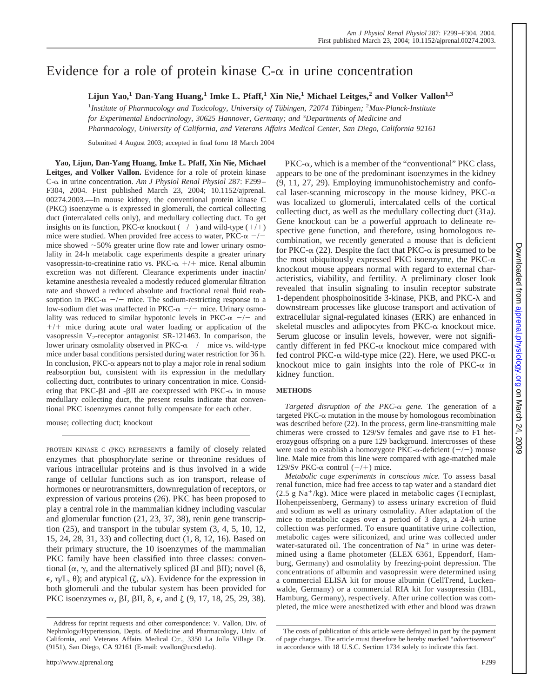# Evidence for a role of protein kinase  $C$ - $\alpha$  in urine concentration

**Lijun Yao,1 Dan-Yang Huang,1 Imke L. Pfaff,1 Xin Nie,1 Michael Leitges,2 and Volker Vallon1,3**

<sup>1</sup>Institute of Pharmacology and Toxicology, University of Tübingen, 72074 Tübingen; <sup>2</sup>Max-Planck-Institute *for Experimental Endocrinology, 30625 Hannover, Germany; and* <sup>3</sup> *Departments of Medicine and Pharmacology, University of California, and Veterans Affairs Medical Center, San Diego, California 92161*

Submitted 4 August 2003; accepted in final form 18 March 2004

**Yao, Lijun, Dan-Yang Huang, Imke L. Pfaff, Xin Nie, Michael Leitges, and Volker Vallon.** Evidence for a role of protein kinase C- in urine concentration. *Am J Physiol Renal Physiol* 287: F299– F304, 2004. First published March 23, 2004; 10.1152/ajprenal. 00274.2003.—In mouse kidney, the conventional protein kinase C (PKC) isoenzyme  $\alpha$  is expressed in glomeruli, the cortical collecting duct (intercalated cells only), and medullary collecting duct. To get insights on its function, PKC- $\alpha$  knockout  $(-/-)$  and wild-type  $(+/+)$ mice were studied. When provided free access to water,  $PKC-\alpha$  -/mice showed  $\sim$  50% greater urine flow rate and lower urinary osmolality in 24-h metabolic cage experiments despite a greater urinary vasopressin-to-creatinine ratio vs.  $PKC-\alpha$  +/+ mice. Renal albumin excretion was not different. Clearance experiments under inactin/ ketamine anesthesia revealed a modestly reduced glomerular filtration rate and showed a reduced absolute and fractional renal fluid reabsorption in PKC- $\alpha$  -/- mice. The sodium-restricting response to a low-sodium diet was unaffected in  $PKC-\alpha$  -/- mice. Urinary osmolality was reduced to similar hypotonic levels in PKC- $\alpha$  -/- and  $+/+$  mice during acute oral water loading or application of the vasopressin  $V_2$ -receptor antagonist SR-121463. In comparison, the lower urinary osmolality observed in  $PKC-\alpha$  -/- mice vs. wild-type mice under basal conditions persisted during water restriction for 36 h. In conclusion,  $PKC$ - $\alpha$  appears not to play a major role in renal sodium reabsorption but, consistent with its expression in the medullary collecting duct, contributes to urinary concentration in mice. Considering that PKC- $\beta$ I and - $\beta$ II are coexpressed with PKC- $\alpha$  in mouse medullary collecting duct, the present results indicate that conventional PKC isoenzymes cannot fully compensate for each other.

mouse; collecting duct; knockout

PROTEIN KINASE C (PKC) REPRESENTS a family of closely related enzymes that phosphorylate serine or threonine residues of various intracellular proteins and is thus involved in a wide range of cellular functions such as ion transport, release of hormones or neurotransmitters, downregulation of receptors, or expression of various proteins (26). PKC has been proposed to play a central role in the mammalian kidney including vascular and glomerular function (21, 23, 37, 38), renin gene transcription  $(25)$ , and transport in the tubular system  $(3, 4, 5, 10, 12,$ 15, 24, 28, 31, 33) and collecting duct (1, 8, 12, 16). Based on their primary structure, the 10 isoenzymes of the mammalian PKC family have been classified into three classes: conventional ( $\alpha$ ,  $\gamma$ , and the alternatively spliced  $\beta I$  and  $\beta II$ ); novel ( $\delta$ ,  $\epsilon$ ,  $\eta$ /L,  $\theta$ ); and atypical ( $\zeta$ ,  $\iota/\lambda$ ). Evidence for the expression in both glomeruli and the tubular system has been provided for PKC isoenzymes  $\alpha$ ,  $\beta I$ ,  $\beta II$ ,  $\delta$ ,  $\epsilon$ , and  $\zeta$  (9, 17, 18, 25, 29, 38).

 $PKC-\alpha$ , which is a member of the "conventional" PKC class, appears to be one of the predominant isoenzymes in the kidney (9, 11, 27, 29). Employing immunohistochemistry and confocal laser-scanning microscopy in the mouse kidney,  $PKC-\alpha$ was localized to glomeruli, intercalated cells of the cortical collecting duct, as well as the medullary collecting duct (31a*)*. Gene knockout can be a powerful approach to delineate respective gene function, and therefore, using homologous recombination, we recently generated a mouse that is deficient for PKC- $\alpha$  (22). Despite the fact that PKC- $\alpha$  is presumed to be the most ubiquitously expressed PKC isoenzyme, the PKC- $\alpha$ knockout mouse appears normal with regard to external characteristics, viability, and fertility. A preliminary closer look revealed that insulin signaling to insulin receptor substrate 1-dependent phosphoinositide  $3$ -kinase, PKB, and PKC- $\lambda$  and downstream processes like glucose transport and activation of extracellular signal-regulated kinases (ERK) are enhanced in skeletal muscles and adipocytes from  $PKC-\alpha$  knockout mice. Serum glucose or insulin levels, however, were not significantly different in fed  $PKC-\alpha$  knockout mice compared with fed control PKC- $\alpha$  wild-type mice (22). Here, we used PKC- $\alpha$ knockout mice to gain insights into the role of  $PKC-\alpha$  in kidney function.

# **METHODS**

*Targeted disruption of the PKC- gene.* The generation of a targeted PKC- $\alpha$  mutation in the mouse by homologous recombination was described before (22). In the process, germ line-transmitting male chimeras were crossed to 129/Sv females and gave rise to F1 heterozygous offspring on a pure 129 background. Intercrosses of these were used to establish a homozygote PKC- $\alpha$ -deficient (-/-) mouse line. Male mice from this line were compared with age-matched male 129/Sv PKC- $\alpha$  control (+/+) mice.

*Metabolic cage experiments in conscious mice.* To assess basal renal function, mice had free access to tap water and a standard diet  $(2.5 \text{ g Na}^+/kg)$ . Mice were placed in metabolic cages (Tecniplast, Hohenpeissenberg, Germany) to assess urinary excretion of fluid and sodium as well as urinary osmolality. After adaptation of the mice to metabolic cages over a period of 3 days, a 24-h urine collection was performed. To ensure quantitative urine collection, metabolic cages were siliconized, and urine was collected under water-saturated oil. The concentration of  $Na<sup>+</sup>$  in urine was determined using a flame photometer (ELEX 6361, Eppendorf, Hamburg, Germany) and osmolality by freezing-point depression. The concentrations of albumin and vasopressin were determined using a commercial ELISA kit for mouse albumin (CellTrend, Luckenwalde, Germany) or a commercial RIA kit for vasopressin (IBL, Hamburg, Germany), respectively. After urine collection was completed, the mice were anesthetized with ether and blood was drawn

Address for reprint requests and other correspondence: V. Vallon, Div. of Nephrology/Hypertension, Depts. of Medicine and Pharmacology, Univ. of California, and Veterans Affairs Medical Ctr., 3350 La Jolla Village Dr. (9151), San Diego, CA 92161 (E-mail: vvallon@ucsd.edu).

The costs of publication of this article were defrayed in part by the payment of page charges. The article must therefore be hereby marked "*advertisement*" in accordance with 18 U.S.C. Section 1734 solely to indicate this fact.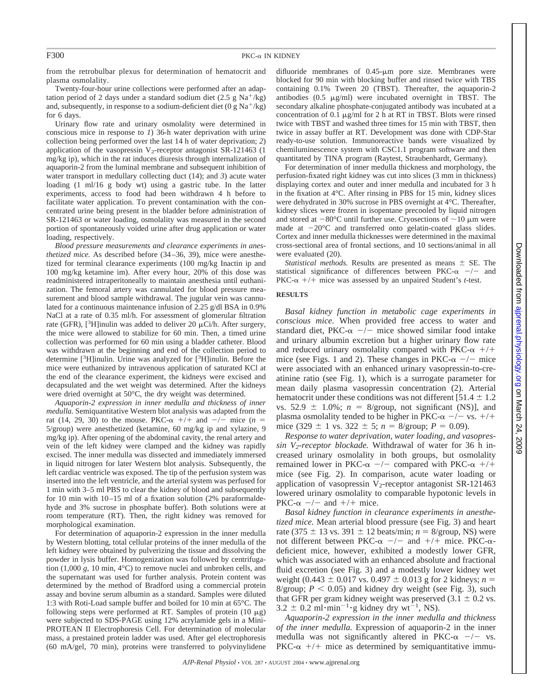from the retrobulbar plexus for determination of hematocrit and plasma osmolality.

Twenty-four-hour urine collections were performed after an adaptation period of 2 days under a standard sodium diet (2.5 g Na<sup>+</sup>/kg) and, subsequently, in response to a sodium-deficient diet  $(0 g Na<sup>+</sup>/kg)$ for 6 days.

Urinary flow rate and urinary osmolality were determined in conscious mice in response to *1*) 36-h water deprivation with urine collection being performed over the last 14 h of water deprivation; *2*) application of the vasopressin  $V_2$ -receptor antagonist SR-121463 (1) mg/kg ip), which in the rat induces diuresis through internalization of aquaporin-2 from the luminal membrane and subsequent inhibition of water transport in medullary collecting duct (14); and *3*) acute water loading  $(1 \text{ ml}/16 \text{ g}$  body wt) using a gastric tube. In the latter experiments, access to food had been withdrawn 4 h before to facilitate water application. To prevent contamination with the concentrated urine being present in the bladder before administration of SR-121463 or water loading, osmolality was measured in the second portion of spontaneously voided urine after drug application or water loading, respectively.

*Blood pressure measurements and clearance experiments in anesthetized mice.* As described before (34–36, 39), mice were anesthetized for terminal clearance experiments (100 mg/kg Inactin ip and 100 mg/kg ketamine im). After every hour, 20% of this dose was readministered intraperitoneally to maintain anesthesia until euthanization. The femoral artery was cannulated for blood pressure measurement and blood sample withdrawal. The jugular vein was cannulated for a continuous maintenance infusion of 2.25 g/dl BSA in 0.9% NaCl at a rate of 0.35 ml/h. For assessment of glomerular filtration rate (GFR), [<sup>3</sup>H]inulin was added to deliver 20  $\mu$ Ci/h. After surgery, the mice were allowed to stabilize for 60 min. Then, a timed urine collection was performed for 60 min using a bladder catheter. Blood was withdrawn at the beginning and end of the collection period to determine [<sup>3</sup>H]inulin. Urine was analyzed for [<sup>3</sup>H]inulin. Before the mice were euthanized by intravenous application of saturated KCl at the end of the clearance experiment, the kidneys were excised and decapsulated and the wet weight was determined. After the kidneys were dried overnight at 50°C, the dry weight was determined.

*Aquaporin-2 expression in inner medulla and thickness of inner medulla.* Semiquantitative Western blot analysis was adapted from the rat (14, 29, 30) to the mouse. PKC- $\alpha$  +/+ and -/- mice (*n* = 5/group) were anesthetized (ketamine, 60 mg/kg ip and xylazine, 9 mg/kg ip). After opening of the abdominal cavity, the renal artery and vein of the left kidney were clamped and the kidney was rapidly excised. The inner medulla was dissected and immediately immersed in liquid nitrogen for later Western blot analysis. Subsequently, the left cardiac ventricle was exposed. The tip of the perfusion system was inserted into the left ventricle, and the arterial system was perfused for 1 min with 3–5 ml PBS to clear the kidney of blood and subsequently for 10 min with 10–15 ml of a fixation solution (2% paraformaldehyde and 3% sucrose in phosphate buffer). Both solutions were at room temperature (RT). Then, the right kidney was removed for morphological examination.

For determination of aquaporin-2 expression in the inner medulla by Western blotting, total cellular proteins of the inner medulla of the left kidney were obtained by pulverizing the tissue and dissolving the powder in lysis buffer. Homogenization was followed by centrifugation (1,000 *g*, 10 min, 4°C) to remove nuclei and unbroken cells, and the supernatant was used for further analysis. Protein content was determined by the method of Bradford using a commercial protein assay and bovine serum albumin as a standard. Samples were diluted 1:3 with Roti-Load sample buffer and boiled for 10 min at 65°C. The following steps were performed at RT. Samples of protein  $(10 \mu g)$ were subjected to SDS-PAGE using 12% acrylamide gels in a Mini-PROTEAN II Electrophoresis Cell. For determination of molecular mass, a prestained protein ladder was used. After gel electrophoresis (60 mA/gel, 70 min), proteins were transferred to polyvinylidene difluoride membranes of  $0.45$ - $\mu$ m pore size. Membranes were blocked for 90 min with blocking buffer and rinsed twice with TBS containing 0.1% Tween 20 (TBST). Thereafter, the aquaporin-2 antibodies  $(0.5 \mu g/ml)$  were incubated overnight in TBST. The secondary alkaline phosphate-conjugated antibody was incubated at a concentration of 0.1  $\mu$ g/ml for 2 h at RT in TBST. Blots were rinsed twice with TBST and washed three times for 15 min with TBST, then twice in assay buffer at RT. Development was done with CDP-Star ready-to-use solution. Immunoreactive bands were visualized by chemiluminescence system with CSC1.1 program software and then quantitated by TINA program (Raytest, Straubenhardt, Germany).

For determination of inner medulla thickness and morphology, the perfusion-fixated right kidney was cut into slices (3 mm in thickness) displaying cortex and outer and inner medulla and incubated for 3 h in the fixation at 4°C. After rinsing in PBS for 15 min, kidney slices were dehydrated in 30% sucrose in PBS overnight at 4°C. Thereafter, kidney slices were frozen in isopentane precooled by liquid nitrogen and stored at  $-80^{\circ}$ C until further use. Cryosections of  $\sim$ 10  $\mu$ m were made at  $-20^{\circ}$ C and transferred onto gelatin-coated glass slides. Cortex and inner medulla thicknesses were determined in the maximal cross-sectional area of frontal sections, and 10 sections/animal in all were evaluated (20).

*Statistical methods.* Results are presented as means  $\pm$  SE. The statistical significance of differences between PKC- $\alpha$  -/- and PKC- $\alpha$  +/+ mice was assessed by an unpaired Student's *t*-test.

#### **RESULTS**

*Basal kidney function in metabolic cage experiments in conscious mice.* When provided free access to water and standard diet, PKC- $\alpha$  -/- mice showed similar food intake and urinary albumin excretion but a higher urinary flow rate and reduced urinary osmolality compared with PKC- $\alpha$  +/+ mice (see Figs. 1 and 2). These changes in PKC- $\alpha$  -/- mice were associated with an enhanced urinary vasopressin-to-creatinine ratio (see Fig. 1), which is a surrogate parameter for mean daily plasma vasopressin concentration (2). Arterial hematocrit under these conditions was not different [51.4  $\pm$  1.2 vs. 52.9  $\pm$  1.0%;  $n = 8$ /group, not significant (NS)], and plasma osmolality tended to be higher in PKC- $\alpha$  -/- vs. +/+ mice (329  $\pm$  1 vs. 322  $\pm$  5; *n* = 8/group; *P* = 0.09).

*Response to water deprivation, water loading, and vasopressin V2-receptor blockade.* Withdrawal of water for 36 h increased urinary osmolality in both groups, but osmolality remained lower in PKC- $\alpha$  -/- compared with PKC- $\alpha$  +/+ mice (see Fig. 2). In comparison, acute water loading or application of vasopressin V<sub>2</sub>-receptor antagonist SR-121463 lowered urinary osmolality to comparable hypotonic levels in PKC- $\alpha$  -/- and +/+ mice.

*Basal kidney function in clearance experiments in anesthetized mice.* Mean arterial blood pressure (see Fig. 3) and heart rate (375  $\pm$  13 vs. 391  $\pm$  12 beats/min; *n* = 8/group, NS) were not different between PKC- $\alpha$  -/- and +/+ mice. PKC- $\alpha$ deficient mice, however, exhibited a modestly lower GFR, which was associated with an enhanced absolute and fractional fluid excretion (see Fig. 3) and a modestly lower kidney wet weight (0.443  $\pm$  0.017 vs. 0.497  $\pm$  0.013 g for 2 kidneys; *n* = 8/group;  $P < 0.05$ ) and kidney dry weight (see Fig. 3), such that GFR per gram kidney weight was preserved  $(3.1 \pm 0.2 \text{ vs.})$  $3.2 \pm 0.2 \text{ ml} \cdot \text{min}^{-1} \cdot \text{g}$  kidney dry wt<sup>-1</sup>, NS).

*Aquaporin-2 expression in the inner medulla and thickness of the inner medulla.* Expression of aquaporin-2 in the inner medulla was not significantly altered in PKC- $\alpha$  -/- vs. PKC- $\alpha$  +/+ mice as determined by semiquantitative immu-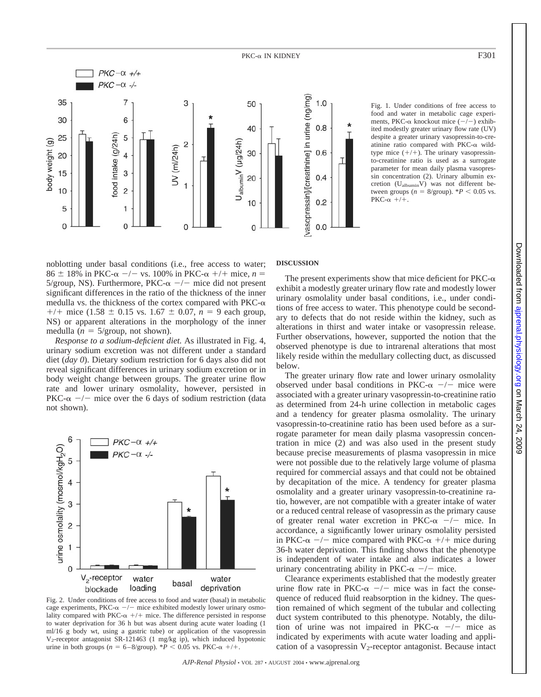

Fig. 1. Under conditions of free access to food and water in metabolic cage experiments, PKC- $\alpha$  knockout mice  $(-/-)$  exhibited modestly greater urinary flow rate (UV) despite a greater urinary vasopressin-to-creatinine ratio compared with  $PKC-\alpha$  wildtype mice  $(+/+)$ . The urinary vasopressinto-creatinine ratio is used as a surrogate parameter for mean daily plasma vasopressin concentration (2). Urinary albumin excretion (UalbuminV) was not different between groups ( $n = 8$ /group).  $*P < 0.05$  vs.  $PKC-\alpha$  +/+.

noblotting under basal conditions (i.e., free access to water;  $86 \pm 18\%$  in PKC- $\alpha$  -/- vs. 100% in PKC- $\alpha$  +/+ mice, *n* =  $5/\text{group}$ , NS). Furthermore, PKC- $\alpha$  -/- mice did not present significant differences in the ratio of the thickness of the inner medulla vs. the thickness of the cortex compared with  $PKC-\alpha$  $+/+$  mice (1.58  $\pm$  0.15 vs. 1.67  $\pm$  0.07, *n* = 9 each group, NS) or apparent alterations in the morphology of the inner medulla ( $n = 5$ /group, not shown).

*Response to a sodium-deficient diet.* As illustrated in Fig. 4, urinary sodium excretion was not different under a standard diet (*day 0*). Dietary sodium restriction for 6 days also did not reveal significant differences in urinary sodium excretion or in body weight change between groups. The greater urine flow rate and lower urinary osmolality, however, persisted in PKC- $\alpha$  -/- mice over the 6 days of sodium restriction (data not shown).



Fig. 2. Under conditions of free access to food and water (basal) in metabolic cage experiments, PKC- $\alpha$  -/- mice exhibited modestly lower urinary osmolality compared with PKC- $\alpha$  +/+ mice. The difference persisted in response to water deprivation for 36 h but was absent during acute water loading (1 ml/16 g body wt, using a gastric tube) or application of the vasopressin V2-receptor antagonist SR-121463 (1 mg/kg ip), which induced hypotonic urine in both groups ( $n = 6-8$ /group).  $*P < 0.05$  vs. PKC- $\alpha$  +/+.

#### **DISCUSSION**

The present experiments show that mice deficient for  $PKC-\alpha$ exhibit a modestly greater urinary flow rate and modestly lower urinary osmolality under basal conditions, i.e., under conditions of free access to water. This phenotype could be secondary to defects that do not reside within the kidney, such as alterations in thirst and water intake or vasopressin release. Further observations, however, supported the notion that the observed phenotype is due to intrarenal alterations that most likely reside within the medullary collecting duct, as discussed below.

The greater urinary flow rate and lower urinary osmolality observed under basal conditions in PKC- $\alpha$  -/- mice were associated with a greater urinary vasopressin-to-creatinine ratio as determined from 24-h urine collection in metabolic cages and a tendency for greater plasma osmolality. The urinary vasopressin-to-creatinine ratio has been used before as a surrogate parameter for mean daily plasma vasopressin concentration in mice (2) and was also used in the present study because precise measurements of plasma vasopressin in mice were not possible due to the relatively large volume of plasma required for commercial assays and that could not be obtained by decapitation of the mice. A tendency for greater plasma osmolality and a greater urinary vasopressin-to-creatinine ratio, however, are not compatible with a greater intake of water or a reduced central release of vasopressin as the primary cause of greater renal water excretion in PKC- $\alpha$  -/- mice. In accordance, a significantly lower urinary osmolality persisted in PKC- $\alpha$  -/- mice compared with PKC- $\alpha$  +/+ mice during 36-h water deprivation. This finding shows that the phenotype is independent of water intake and also indicates a lower urinary concentrating ability in PKC- $\alpha$  -/- mice.

Clearance experiments established that the modestly greater urine flow rate in PKC- $\alpha$  -/- mice was in fact the consequence of reduced fluid reabsorption in the kidney. The question remained of which segment of the tubular and collecting duct system contributed to this phenotype. Notably, the dilution of urine was not impaired in PKC- $\alpha$  -/- mice as indicated by experiments with acute water loading and application of a vasopressin  $V_2$ -receptor antagonist. Because intact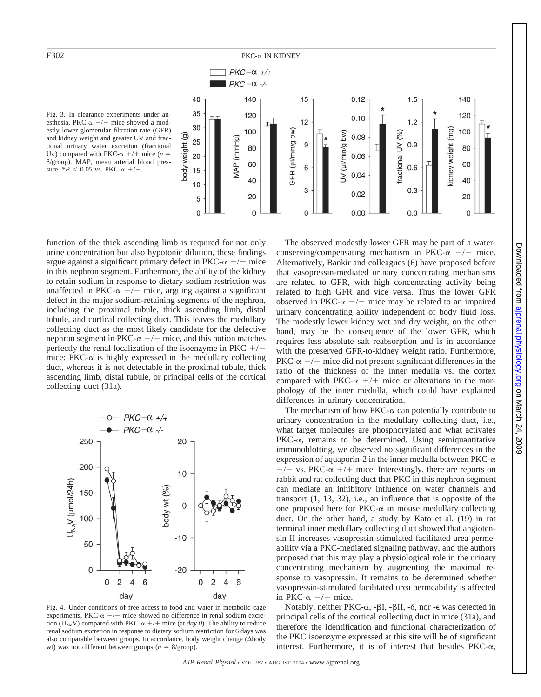

Fig. 3. In clearance experiments under anesthesia, PKC- $\alpha$  -/- mice showed a modestly lower glomerular filtration rate (GFR) and kidney weight and greater UV and fractional urinary water excretion (fractional U<sub>V</sub>) compared with PKC- $\alpha$  +/+ mice (*n* = 8/group). MAP, mean arterial blood pressure.  $*P < 0.05$  vs. PKC- $\alpha$  +/+.

function of the thick ascending limb is required for not only urine concentration but also hypotonic dilution, these findings argue against a significant primary defect in PKC- $\alpha$  -/- mice in this nephron segment. Furthermore, the ability of the kidney to retain sodium in response to dietary sodium restriction was unaffected in PKC- $\alpha$  -/- mice, arguing against a significant defect in the major sodium-retaining segments of the nephron, including the proximal tubule, thick ascending limb, distal tubule, and cortical collecting duct. This leaves the medullary collecting duct as the most likely candidate for the defective nephron segment in PKC- $\alpha$  -/- mice, and this notion matches perfectly the renal localization of the isoenzyme in PKC  $+/+$ mice: PKC- $\alpha$  is highly expressed in the medullary collecting duct, whereas it is not detectable in the proximal tubule, thick ascending limb, distal tubule, or principal cells of the cortical collecting duct (31a).



Fig. 4. Under conditions of free access to food and water in metabolic cage experiments, PKC- $\alpha$  -/- mice showed no difference in renal sodium excretion (U<sub>Na</sub>V) compared with PKC- $\alpha$  +/+ mice (at *day 0*). The ability to reduce renal sodium excretion in response to dietary sodium restriction for 6 days was also comparable between groups. In accordance, body weight change ( $\Delta$ body wt) was not different between groups  $(n = 8/\text{group})$ .

The observed modestly lower GFR may be part of a waterconserving/compensating mechanism in PKC- $\alpha$  -/- mice. Alternatively, Bankir and colleagues (6) have proposed before that vasopressin-mediated urinary concentrating mechanisms are related to GFR, with high concentrating activity being related to high GFR and vice versa. Thus the lower GFR observed in PKC- $\alpha$  -/- mice may be related to an impaired urinary concentrating ability independent of body fluid loss. The modestly lower kidney wet and dry weight, on the other hand, may be the consequence of the lower GFR, which requires less absolute salt reabsorption and is in accordance with the preserved GFR-to-kidney weight ratio. Furthermore, PKC- $\alpha$  -/- mice did not present significant differences in the ratio of the thickness of the inner medulla vs. the cortex compared with PKC- $\alpha$  +/+ mice or alterations in the morphology of the inner medulla, which could have explained differences in urinary concentration.

The mechanism of how  $PKC-\alpha$  can potentially contribute to urinary concentration in the medullary collecting duct, i.e., what target molecules are phosphorylated and what activates  $PKC-\alpha$ , remains to be determined. Using semiquantitative immunoblotting, we observed no significant differences in the expression of aquaporin-2 in the inner medulla between  $PKC-\alpha$  $-\prime$  vs. PKC- $\alpha$  +/+ mice. Interestingly, there are reports on rabbit and rat collecting duct that PKC in this nephron segment can mediate an inhibitory influence on water channels and transport (1, 13, 32), i.e., an influence that is opposite of the one proposed here for  $PKC-\alpha$  in mouse medullary collecting duct. On the other hand, a study by Kato et al. (19) in rat terminal inner medullary collecting duct showed that angiotensin II increases vasopressin-stimulated facilitated urea permeability via a PKC-mediated signaling pathway, and the authors proposed that this may play a physiological role in the urinary concentrating mechanism by augmenting the maximal response to vasopressin. It remains to be determined whether vasopressin-stimulated facilitated urea permeability is affected in PKC- $\alpha$  -/- mice.

Notably, neither PKC- $\alpha$ , - $\beta I$ , - $\beta II$ , - $\delta$ , nor - $\epsilon$  was detected in principal cells of the cortical collecting duct in mice (31a), and therefore the identification and functional characterization of the PKC isoenzyme expressed at this site will be of significant interest. Furthermore, it is of interest that besides  $PKC-\alpha$ ,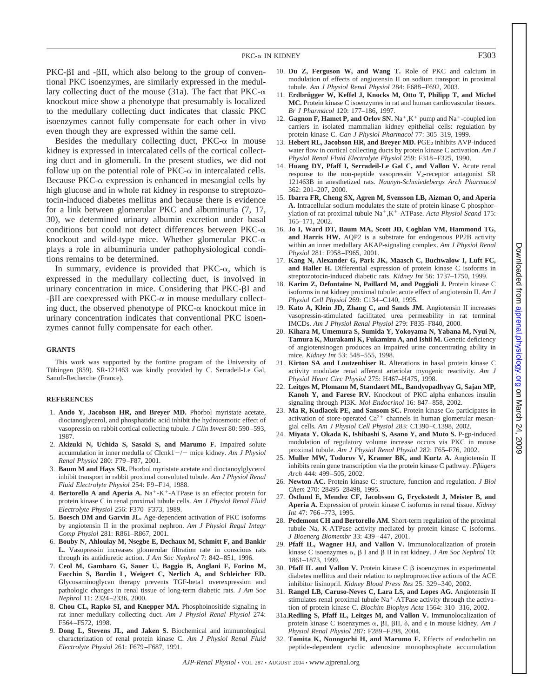$PKC-BI$  and  $-BII$ , which also belong to the group of conventional PKC isoenzymes, are similarly expressed in the medullary collecting duct of the mouse (31a). The fact that  $PKC-\alpha$ knockout mice show a phenotype that presumably is localized to the medullary collecting duct indicates that classic PKC isoenzymes cannot fully compensate for each other in vivo even though they are expressed within the same cell.

Besides the medullary collecting duct,  $PKC-\alpha$  in mouse kidney is expressed in intercalated cells of the cortical collecting duct and in glomeruli. In the present studies, we did not follow up on the potential role of  $PKC-\alpha$  in intercalated cells. Because PKC- $\alpha$  expression is enhanced in mesangial cells by high glucose and in whole rat kidney in response to streptozotocin-induced diabetes mellitus and because there is evidence for a link between glomerular PKC and albuminuria (7, 17, 30), we determined urinary albumin excretion under basal conditions but could not detect differences between  $PKC-\alpha$ knockout and wild-type mice. Whether glomerular  $PKC-\alpha$ plays a role in albuminuria under pathophysiological conditions remains to be determined.

In summary, evidence is provided that  $PKC-\alpha$ , which is expressed in the medullary collecting duct, is involved in urinary concentration in mice. Considering that  $PKC-BI$  and  $-\beta$ II are coexpressed with PKC- $\alpha$  in mouse medullary collecting duct, the observed phenotype of  $PKC-\alpha$  knockout mice in urinary concentration indicates that conventional PKC isoenzymes cannot fully compensate for each other.

#### **GRANTS**

This work was supported by the fortune program of the University of Tübingen (859). SR-121463 was kindly provided by C. Serradeil-Le Gal, Sanofi-Recherche (France).

#### **REFERENCES**

- 1. **Ando Y, Jacobson HR, and Breyer MD.** Phorbol myristate acetate, dioctanoglycerol, and phosphatidic acid inhibit the hydroosmotic effect of vasopressin on rabbit cortical collecting tubule. *J Clin Invest* 80: 590–593, 1987.
- 2. **Akizuki N, Uchida S, Sasaki S, and Marumo F.** Impaired solute accumulation in inner medulla of Clcnk1<sup>-/-</sup> mice kidney. Am J Physiol *Renal Physiol* 280: F79–F87, 2001.
- 3. **Baum M and Hays SR.** Phorbol myristate acetate and dioctanoylglycerol inhibit transport in rabbit proximal convoluted tubule. *Am J Physiol Renal Fluid Electrolyte Physiol* 254: F9–F14, 1988.
- 4. **Bertorello A and Aperia A.**  $Na^+$ - $K^+$ -ATPase is an effector protein for protein kinase C in renal proximal tubule cells. *Am J Physiol Renal Fluid Electrolyte Physiol* 256: F370–F373, 1989.
- 5. **Boesch DM and Garvin JL.** Age-dependent activation of PKC isoforms by angiotensin II in the proximal nephron. *Am J Physiol Regul Integr Comp Physiol* 281: R861–R867, 2001.
- 6. **Bouby N, Ahloulay M, Nsegbe E, Dechaux M, Schmitt F, and Bankir L.** Vasopressin increases glomerular filtration rate in conscious rats through its antidiuretic action. *J Am Soc Nephrol* 7: 842–851, 1996.
- 7. **Ceol M, Gambaro G, Sauer U, Baggio B, Anglani F, Forino M, Facchin S, Bordin L, Weigert C, Nerlich A, and Schleicher ED.** Glycosaminoglycan therapy prevents TGF-beta1 overexpression and pathologic changes in renal tissue of long-term diabetic rats. *J Am Soc Nephrol* 11: 2324–2336, 2000.
- 8. **Chou CL, Rapko SI, and Knepper MA.** Phosphoinositide signaling in rat inner medullary collecting duct. *Am J Physiol Renal Physiol* 274: F564–F572, 1998.
- 9. **Dong L, Stevens JL, and Jaken S.** Biochemical and immunological characterization of renal protein kinase C. *Am J Physiol Renal Fluid Electrolyte Physiol* 261: F679–F687, 1991.
- 10. **Du Z, Ferguson W, and Wang T.** Role of PKC and calcium in modulation of effects of angiotensin II on sodium transport in proximal tubule. *Am J Physiol Renal Physiol* 284: F688–F692, 2003.
- 11. Erdbrügger W, Keffel J, Knocks M, Otto T, Philipp T, and Michel **MC.** Protein kinase C isoenzymes in rat and human cardiovascular tissues. *Br J Pharmacol* 120: 177–186, 1997.
- 12. **Gagnon F, Hamet P, and Orlov SN.**  $Na^+, K^+$  pump and  $Na^+$ -coupled ion carriers in isolated mammalian kidney epithelial cells: regulation by protein kinase C. *Can J Physiol Pharmacol* 77: 305–319, 1999.
- 13. Hebert RL, Jacobson HR, and Breyer MD. PGE<sub>2</sub> inhibits AVP-induced water flow in cortical collecting ducts by protein kinase C activation. *Am J Physiol Renal Fluid Electrolyte Physiol* 259: F318–F325, 1990.
- 14. **Huang DY, Pfaff I, Serradeil-Le Gal C, and Vallon V.** Acute renal response to the non-peptide vasopressin  $V_2$ -receptor antagonist SR 121463B in anesthetized rats. *Naunyn-Schmiedebergs Arch Pharmacol* 362: 201–207, 2000.
- 15. **Ibarra FR, Cheng SX, Agren M, Svensson LB, Aizman O, and Aperia A.** Intracellular sodium modulates the state of protein kinase C phosphorylation of rat proximal tubule Na<sup>+</sup>,K<sup>+</sup>-ATPase. *Acta Physiol Scand* 175: 165–171, 2002.
- 16. **Jo I, Ward DT, Baum MA, Scott JD, Coghlan VM, Hammond TG, and Harris HW.** AQP2 is a substrate for endogenous PP2B activity within an inner medullary AKAP-signaling complex. *Am J Physiol Renal Physiol* 281: F958–F965, 2001.
- 17. **Kang N, Alexander G, Park JK, Maasch C, Buchwalow I, Luft FC, and Haller H.** Differential expression of protein kinase C isoforms in streptozotocin-induced diabetic rats. *Kidney Int* 56: 1737–1750, 1999.
- 18. **Karim Z, Defontaine N, Paillard M, and Poggioli J.** Protein kinase C isoforms in rat kidney proximal tubule: acute effect of angiotensin II. *Am J Physiol Cell Physiol* 269: C134–C140, 1995.
- 19. **Kato A, Klein JD, Zhang C, and Sands JM.** Angiotensin II increases vasopressin-stimulated facilitated urea permeability in rat terminal IMCDs. *Am J Physiol Renal Physiol* 279: F835–F840, 2000.
- 20. **Kihara M, Umemura S, Sumida Y, Yokoyama N, Yabana M, Nyui N, Tamura K, Murakami K, Fukamizu A, and Ishii M.** Genetic deficiency of angiotensinogen produces an impaired urine concentrating ability in mice. *Kidney Int* 53: 548–555, 1998.
- 21. **Kirton SA and Loutzenhiser R.** Alterations in basal protein kinase C activity modulate renal afferent arteriolar myogenic reactivity. *Am J Physiol Heart Circ Physiol* 275: H467–H475, 1998.
- 22. **Leitges M, Plomann M, Standaert ML, Bandyopadhyay G, Sajan MP, Kanoh Y, and Farese RV.** Knockout of PKC alpha enhances insulin signaling through PI3K. *Mol Endocrinol* 16: 847–858, 2002.
- 23. Ma R, Kudlacek PE, and Sansom SC. Protein kinase  $C\alpha$  participates in activation of store-operated  $Ca^{2+}$  channels in human glomerular mesangial cells. *Am J Physiol Cell Physiol* 283: C1390–C1398, 2002.
- 24. **Miyata Y, Okada K, Ishibashi S, Asano Y, and Muto S.** P-gp-induced modulation of regulatory volume increase occurs via PKC in mouse proximal tubule. *Am J Physiol Renal Physiol* 282: F65–F76, 2002.
- 25. **Muller MW, Todorov V, Kramer BK, and Kurtz A.** Angiotensin II inhibits renin gene transcription via the protein kinase C pathway. *Pflügers Arch* 444: 499–505, 2002.
- 26. **Newton AC.** Protein kinase C: structure, function and regulation. *J Biol Chem* 270: 28495–28498, 1995.
- 27. Östlund E, Mendez CF, Jacobsson G, Fryckstedt J, Meister B, and **Aperia A.** Expression of protein kinase C isoforms in renal tissue. *Kidney Int* 47: 766–773, 1995.
- 28. **Pedemont CH and Bertorello AM.** Short-term regulation of the proximal tubule Na, K-ATPase activity mediated by protein kinase C isoforms. *J Bioenerg Biomembr* 33: 439–447, 2001.
- 29. **Pfaff IL, Wagner HJ, and Vallon V.** Immunolocalization of protein kinase C isoenzymes  $\alpha$ ,  $\beta$  I and  $\beta$  II in rat kidney. *J Am Soc Nephrol* 10: 1861–1873, 1999.
- 30. **Pfaff IL and Vallon V.** Protein kinase  $C \beta$  isoenzymes in experimental diabetes mellitus and their relation to nephroprotective actions of the ACE inhibitor lisinopril. *Kidney Blood Press Res* 25: 329–340, 2002.
- 31. **Rangel LB, Caruso-Neves C, Lara LS, and Lopes AG.** Angiotensin II stimulates renal proximal tubule  $Na^+$ -ATPase activity through the activation of protein kinase C. *Biochim Biophys Acta* 1564: 310–316, 2002.
- 31a.**Redling S, Pfaff IL, Leitges M, and Vallon V.** Immunolocalization of protein kinase C isoenzymes  $\alpha$ ,  $\beta I$ ,  $\beta II$ ,  $\delta$ , and  $\epsilon$  in mouse kidney. *Am J Physiol Renal Physiol* 287: F289–F298, 2004.
- 32. **Tomita K, Nonoguchi H, and Marumo F.** Effects of endothelin on peptide-dependent cyclic adenosine monophosphate accumulation